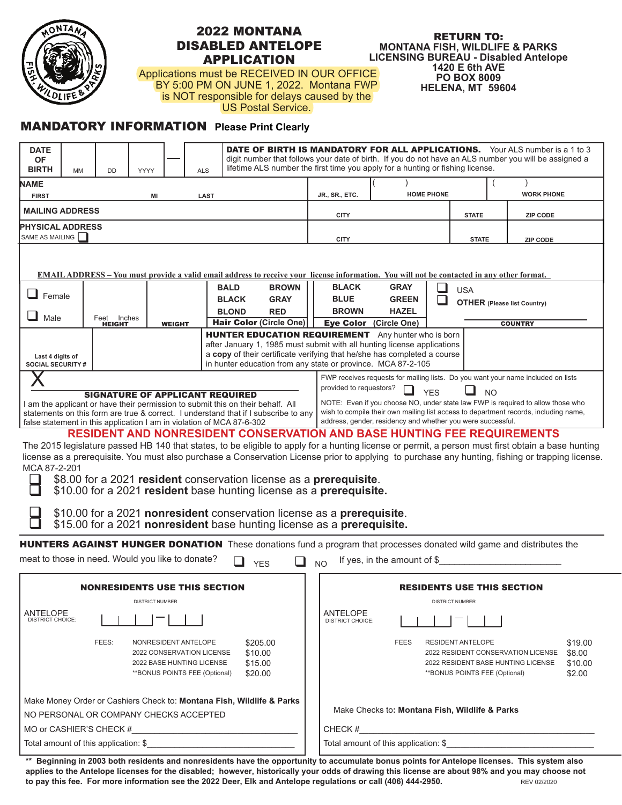

## 2022 MONTANA DISABLED ANTELOPE APPLICATION

## RETURN TO: **MONTANA FISH, WILDLIFE & PARKS LICENSING BUREAU - Disabled Antelope 1420 E 6th AVE PO BOX 8009 HELENA, MT 59604**

Applications must be RECEIVED IN OUR OFFICE BY 5:00 PM ON JUNE 1, 2022. Montana FWP is NOT responsible for delays caused by the US Postal Service.

## MANDATORY INFORMATION **Please Print Clearly**

| <b>DATE</b><br>ΟF<br><b>BIRTH</b>                                                                                                                                                                                                                        | <b>MM</b> | <b>DD</b>     | YYYY            |                                                                                | <b>ALS</b>                  | <b>DATE OF BIRTH IS MANDATORY FOR ALL APPLICATIONS.</b> Your ALS number is a 1 to 3<br>digit number that follows your date of birth. If you do not have an ALS number you will be assigned a<br>lifetime ALS number the first time you apply for a hunting or fishing license. |                                                         |                                                                                  |                               |                                                                                                          |  |
|----------------------------------------------------------------------------------------------------------------------------------------------------------------------------------------------------------------------------------------------------------|-----------|---------------|-----------------|--------------------------------------------------------------------------------|-----------------------------|--------------------------------------------------------------------------------------------------------------------------------------------------------------------------------------------------------------------------------------------------------------------------------|---------------------------------------------------------|----------------------------------------------------------------------------------|-------------------------------|----------------------------------------------------------------------------------------------------------|--|
| NAME                                                                                                                                                                                                                                                     |           |               |                 |                                                                                |                             |                                                                                                                                                                                                                                                                                |                                                         |                                                                                  |                               |                                                                                                          |  |
| <b>FIRST</b><br><b>LAST</b><br>ΜI                                                                                                                                                                                                                        |           |               |                 |                                                                                |                             |                                                                                                                                                                                                                                                                                | JR., SR., ETC.                                          | <b>HOME PHONE</b>                                                                |                               | <b>WORK PHONE</b>                                                                                        |  |
| <b>MAILING ADDRESS</b>                                                                                                                                                                                                                                   |           |               |                 |                                                                                |                             |                                                                                                                                                                                                                                                                                | <b>CITY</b>                                             |                                                                                  | <b>STATE</b>                  | <b>ZIP CODE</b>                                                                                          |  |
| <b>PHYSICAL ADDRESS</b><br>SAME AS MAILING                                                                                                                                                                                                               |           |               |                 |                                                                                |                             |                                                                                                                                                                                                                                                                                | <b>CITY</b>                                             |                                                                                  | <b>STATE</b>                  | <b>ZIP CODE</b>                                                                                          |  |
| <b>EMAIL ADDRESS</b> – You must provide a valid email address to receive your license information. You will not be contacted in any other format.                                                                                                        |           |               |                 |                                                                                |                             |                                                                                                                                                                                                                                                                                |                                                         |                                                                                  |                               |                                                                                                          |  |
| Female                                                                                                                                                                                                                                                   |           |               |                 |                                                                                | <b>BALD</b><br><b>BROWN</b> | <b>BLACK</b>                                                                                                                                                                                                                                                                   | <b>GRAY</b><br><b>USA</b>                               |                                                                                  |                               |                                                                                                          |  |
|                                                                                                                                                                                                                                                          |           |               |                 |                                                                                | <b>BLACK</b><br><b>GRAY</b> | <b>BLUE</b><br><b>GREEN</b><br><b>OTHER</b> (Please list Country)                                                                                                                                                                                                              |                                                         |                                                                                  |                               |                                                                                                          |  |
| Male                                                                                                                                                                                                                                                     |           | Feet Inches   |                 |                                                                                |                             | <b>BLOND</b><br><b>RED</b>                                                                                                                                                                                                                                                     | <b>BROWN</b>                                            | <b>HAZEL</b>                                                                     |                               |                                                                                                          |  |
|                                                                                                                                                                                                                                                          |           | <b>HEIGHT</b> |                 | <b>WEIGHT</b>                                                                  |                             | <b>Hair Color (Circle One)</b>                                                                                                                                                                                                                                                 |                                                         | Eye Color (Circle One)                                                           |                               | <b>COUNTRY</b>                                                                                           |  |
|                                                                                                                                                                                                                                                          |           |               |                 |                                                                                |                             | <b>HUNTER EDUCATION REQUIREMENT</b> Any hunter who is born<br>after January 1, 1985 must submit with all hunting license applications                                                                                                                                          |                                                         |                                                                                  |                               |                                                                                                          |  |
| Last 4 digits of                                                                                                                                                                                                                                         |           |               |                 |                                                                                |                             | a copy of their certificate verifying that he/she has completed a course                                                                                                                                                                                                       |                                                         |                                                                                  |                               |                                                                                                          |  |
| <b>SOCIAL SECURITY #</b>                                                                                                                                                                                                                                 |           |               |                 |                                                                                |                             | in hunter education from any state or province. MCA 87-2-105                                                                                                                                                                                                                   |                                                         |                                                                                  |                               |                                                                                                          |  |
|                                                                                                                                                                                                                                                          |           |               |                 |                                                                                |                             |                                                                                                                                                                                                                                                                                |                                                         | FWP receives requests for mailing lists. Do you want your name included on lists |                               |                                                                                                          |  |
| <b>SIGNATURE OF APPLICANT REQUIRED</b>                                                                                                                                                                                                                   |           |               |                 |                                                                                |                             |                                                                                                                                                                                                                                                                                | provided to requestors?<br><b>YFS</b><br>N <sub>O</sub> |                                                                                  |                               |                                                                                                          |  |
| NOTE: Even if you choose NO, under state law FWP is required to allow those who<br>am the applicant or have their permission to submit this on their behalf. All<br>wish to compile their own mailing list access to department records, including name, |           |               |                 |                                                                                |                             |                                                                                                                                                                                                                                                                                |                                                         |                                                                                  |                               |                                                                                                          |  |
| statements on this form are true & correct. I understand that if I subscribe to any<br>address, gender, residency and whether you were successful.<br>false statement in this application I am in violation of MCA 87-6-302                              |           |               |                 |                                                                                |                             |                                                                                                                                                                                                                                                                                |                                                         |                                                                                  |                               |                                                                                                          |  |
| <b>RESIDENT AND NONRESIDENT CONSERVATION AND BASE HUNTING FEE REQUIREMENTS</b>                                                                                                                                                                           |           |               |                 |                                                                                |                             |                                                                                                                                                                                                                                                                                |                                                         |                                                                                  |                               |                                                                                                          |  |
| The 2015 legislature passed HB 140 that states, to be eligible to apply for a hunting license or permit, a person must first obtain a base hunting                                                                                                       |           |               |                 |                                                                                |                             |                                                                                                                                                                                                                                                                                |                                                         |                                                                                  |                               |                                                                                                          |  |
| license as a prerequisite. You must also purchase a Conservation License prior to applying to purchase any hunting, fishing or trapping license.                                                                                                         |           |               |                 |                                                                                |                             |                                                                                                                                                                                                                                                                                |                                                         |                                                                                  |                               |                                                                                                          |  |
| MCA 87-2-201                                                                                                                                                                                                                                             |           |               |                 |                                                                                |                             |                                                                                                                                                                                                                                                                                |                                                         |                                                                                  |                               |                                                                                                          |  |
| \$8.00 for a 2021 resident conservation license as a prerequisite.<br>\$10.00 for a 2021 resident base hunting license as a prerequisite.                                                                                                                |           |               |                 |                                                                                |                             |                                                                                                                                                                                                                                                                                |                                                         |                                                                                  |                               |                                                                                                          |  |
|                                                                                                                                                                                                                                                          |           |               |                 |                                                                                |                             |                                                                                                                                                                                                                                                                                |                                                         |                                                                                  |                               |                                                                                                          |  |
| \$10.00 for a 2021 nonresident conservation license as a prerequisite.<br>\$15.00 for a 2021 nonresident base hunting license as a prerequisite.                                                                                                         |           |               |                 |                                                                                |                             |                                                                                                                                                                                                                                                                                |                                                         |                                                                                  |                               |                                                                                                          |  |
| <b>HUNTERS AGAINST HUNGER DONATION</b> These donations fund a program that processes donated wild game and distributes the                                                                                                                               |           |               |                 |                                                                                |                             |                                                                                                                                                                                                                                                                                |                                                         |                                                                                  |                               |                                                                                                          |  |
| meat to those in need. Would you like to donate?                                                                                                                                                                                                         |           |               |                 |                                                                                |                             | ப<br><b>YES</b>                                                                                                                                                                                                                                                                | <b>NO</b>                                               | If yes, in the amount of $$$                                                     |                               |                                                                                                          |  |
|                                                                                                                                                                                                                                                          |           |               |                 |                                                                                |                             |                                                                                                                                                                                                                                                                                |                                                         |                                                                                  |                               |                                                                                                          |  |
| <b>NONRESIDENTS USE THIS SECTION</b>                                                                                                                                                                                                                     |           |               |                 |                                                                                |                             |                                                                                                                                                                                                                                                                                | <b>RESIDENTS USE THIS SECTION</b>                       |                                                                                  |                               |                                                                                                          |  |
|                                                                                                                                                                                                                                                          |           |               | DISTRICT NUMBER |                                                                                |                             |                                                                                                                                                                                                                                                                                |                                                         |                                                                                  | DISTRICT NUMBER               |                                                                                                          |  |
| ANTELOPE<br><b>DISTRICT CHOICE:</b>                                                                                                                                                                                                                      |           |               |                 |                                                                                |                             |                                                                                                                                                                                                                                                                                | ANTELOPE<br><b>DISTRICT CHOICE:</b>                     |                                                                                  |                               |                                                                                                          |  |
|                                                                                                                                                                                                                                                          |           | FEES:         |                 | NONRESIDENT ANTELOPE<br>2022 CONSERVATION LICENSE<br>2022 BASE HUNTING LICENSE |                             | \$205.00<br>\$10.00<br>\$15.00                                                                                                                                                                                                                                                 |                                                         | <b>FEES</b>                                                                      | RESIDENT ANTELOPE             | \$19.00<br>2022 RESIDENT CONSERVATION LICENSE<br>\$8.00<br>2022 RESIDENT BASE HUNTING LICENSE<br>\$10.00 |  |
|                                                                                                                                                                                                                                                          |           |               |                 | **BONUS POINTS FEE (Optional)                                                  |                             | \$20.00                                                                                                                                                                                                                                                                        |                                                         |                                                                                  | **BONUS POINTS FEE (Optional) | \$2.00                                                                                                   |  |
| Make Money Order or Cashiers Check to: Montana Fish, Wildlife & Parks                                                                                                                                                                                    |           |               |                 |                                                                                |                             |                                                                                                                                                                                                                                                                                |                                                         |                                                                                  |                               |                                                                                                          |  |
| NO PERSONAL OR COMPANY CHECKS ACCEPTED                                                                                                                                                                                                                   |           |               |                 |                                                                                |                             |                                                                                                                                                                                                                                                                                | Make Checks to: Montana Fish, Wildlife & Parks          |                                                                                  |                               |                                                                                                          |  |
| MO or CASHIER'S CHECK #<br><u> 1989 - Johann Stein, marwolaethau a bh</u>                                                                                                                                                                                |           |               |                 |                                                                                |                             |                                                                                                                                                                                                                                                                                | CHECK#                                                  |                                                                                  |                               |                                                                                                          |  |
| Total amount of this application: \$                                                                                                                                                                                                                     |           |               |                 |                                                                                |                             |                                                                                                                                                                                                                                                                                |                                                         | Total amount of this application: \$                                             |                               |                                                                                                          |  |

**\*\* Beginning in 2003 both residents and nonresidents have the opportunity to accumulate bonus points for Antelope licenses. This system also applies to the Antelope licenses for the disabled; however, historically your odds of drawing this license are about 98% and you may choose not to pay this fee. For more information see the 2022 Deer, Elk and Antelope regulations or call (406) 444-2950.** REV 02/2020